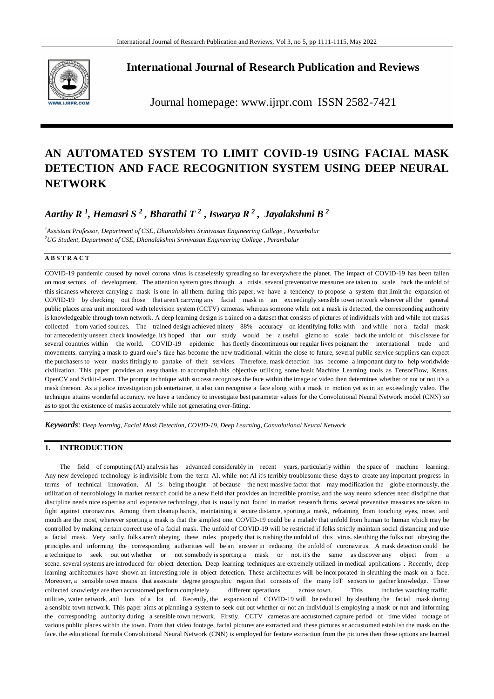

# **International Journal of Research Publication and Reviews**

Journal homepage: www.ijrpr.com ISSN 2582-7421

# **AN AUTOMATED SYSTEM TO LIMIT COVID-19 USING FACIAL MASK DETECTION AND FACE RECOGNITION SYSTEM USING DEEP NEURAL NETWORK**

*Aarthy R <sup>1</sup> , Hemasri S <sup>2</sup> , Bharathi T <sup>2</sup>, Iswarya R <sup>2</sup> , Jayalakshmi B <sup>2</sup>*

*<sup>1</sup>Assistant Professor, Department of CSE, Dhanalakshmi Srinivasan Engineering College , Perambalur <sup>2</sup>UG Student, Department of CSE, Dhanalakshmi Srinivasan Engineering College , Perambalur*

### **A B S T R A C T**

COVID-19 pandemic caused by novel corona virus is ceaselessly spreading so far everywhere the planet. The impact of COVID-19 has been fallen on most sectors of development. The attention system goes through a crisis. several preventative measures are taken to scale back the unfold of this sickness wherever carrying a mask is one in all them. during this paper, we have a tendency to propose a system that limit the expansion of COVID-19 by checking out those that aren't carrying any facial mask in an exceedingly sensible town network wherever all the general public places area unit monitored with television system (CCTV) cameras. whereas someone while not a mask is detected, the corresponding authority is knowledgeable through town network. A deep learning design is trained on a dataset that consists of pictures of individuals with and while not masks collected from varied sources. The trained design achieved ninety 88% accuracy on identifying folks with and while not a facial mask for antecedently unseen check knowledge. it's hoped that our study would be a useful gizmo to scale back the unfold of this disease for several countries within the world. COVID-19 epidemic has fleetly discontinuous our regular lives poignant the international trade and movements. carrying a mask to guard one's face has become the new traditional. within the close to future, several public service suppliers can expect the purchasers to wear masks fittingly to partake of their services. Therefore, mask detection has become a important duty to help worldwide civilization. This paper provides an easy thanks to accomplish this objective utilising some basic Machine Learning tools as TensorFlow, Keras, OpenCV and Scikit-Learn. The prompt technique with success recognises the face within the image or video then determines whether or not or not it's a mask thereon. As a police investigation job entertainer, it also can recognise a face along with a mask in motion yet as in an exceedingly video. The technique attains wonderful accuracy. we have a tendency to investigate best parameter values for the Convolutional Neural Network model (CNN) so as to spot the existence of masks accurately while not generating over-fitting.

*Keywords: Deep learning, Facial Mask Detection, COVID-19, Deep Learning, Convolutional Neural Network*

### **1. INTRODUCTION**

The field of computing (AI) analysis has advanced considerably in recent years, particularly within the space of machine learning. Any new developed technology is indivisible from the term AI. while not AI it's terribly troublesome these days to create any important progress in terms of technical innovation. AI is being thought of because the next massive factor that may modification the globe enormously. the utilization of neurobiology in market research could be a new field that provides an incredible promise, and the way neuro sciences need discipline that discipline needs nice expertise and expensive technology, that is usually not found in market research firms. several preventive measures are taken to fight against coronavirus. Among them cleanup hands, maintaining a secure distance, sporting a mask, refraining from touching eyes, nose, and mouth are the most, wherever sporting a mask is that the simplest one. COVID-19 could be a malady that unfold from human to human which may be controlled by making certain correct use of a facial mask. The unfold of COVID-19 will be restricted if folks strictly maintain social distancing and use a facial mask. Very sadly, folks aren't obeying these rules properly that is rushing the unfold of this virus. sleuthing the folks not obeying the principles and informing the corresponding authorities will be an answer in reducing the unfold of coronavirus. A mask detection could be a technique to seek out out whether or not somebody is sporting a mask or not. it's the same as discover any object from a scene. several systems are introduced for object detection. Deep learning techniques are extremely utilized in medical applications . Recently, deep learning architectures have shown an interesting role in object detection. These architectures will be incorporated in sleuthing the mask on a face. Moreover, a sensible town means that associate degree geographic region that consists of the many IoT sensors to gather knowledge. These collected knowledge are then accustomed perform completely different operations across town. This includes watching traffic, utilities, water network, and lots of a lot of. Recently, the expansion of COVID-19 will be reduced by sleuthing the facial mask during a sensible town network. This paper aims at planning a system to seek out out whether or not an individual is employing a mask or not and informing the corresponding authority during a sensible town network. Firstly, CCTV cameras are accustomed capture period of time video footage of various public places within the town. From that video footage, facial pictures are extracted and these pictures ar accustomed establish the mask on the face. the educational formula Convolutional Neural Network (CNN) is employed for feature extraction from the pictures then these options are learned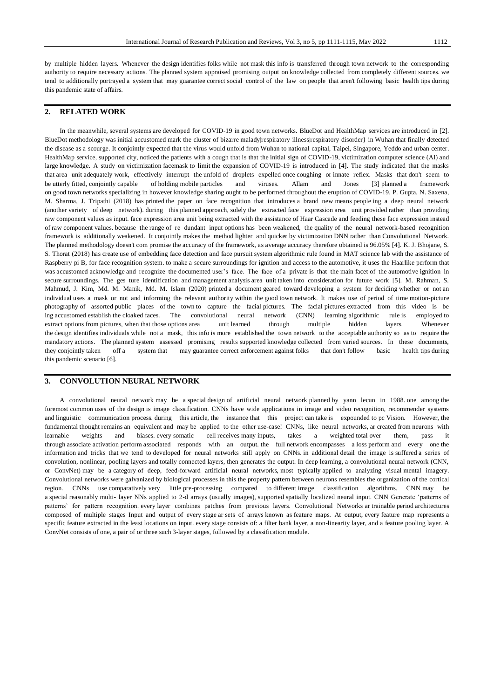by multiple hidden layers. Whenever the design identifies folks while not mask this info is transferred through town network to the corresponding authority to require necessary actions. The planned system appraised promising output on knowledge collected from completely different sources. we tend to additionally portrayed a system that may guarantee correct social control of the law on people that aren't following basic health tips during this pandemic state of affairs.

### **2. RELATED WORK**

In the meanwhile, several systems are developed for COVID-19 in good town networks. BlueDot and HealthMap services are introduced in [2]. BlueDot methodology was initial accustomed mark the cluster of bizarre malady|respiratory illness|respiratory disorder} in Wuhan that finally detected the disease as a scourge. It conjointly expected that the virus would unfold from Wuhan to national capital, Taipei, Singapore, Yeddo and urban center. HealthMap service, supported city, noticed the patients with a cough that is that the initial sign of COVID-19, victimization computer science (AI) and large knowledge. A study on victimization facemask to limit the expansion of COVID-19 is introduced in [4]. The study indicated that the masks that area unit adequately work, effectively interrupt the unfold of droplets expelled once coughing or innate reflex. Masks that don't seem to be utterly fitted, conjointly capable of holding mobile particles and viruses. Allam and Jones [3] planned a framework on good town networks specializing in however knowledge sharing ought to be performed throughout the eruption of COVID-19. P. Gupta, N. Saxena, M. Sharma, J. Tripathi (2018) has printed the paper on face recognition that introduces a brand new means people ing a deep neural network (another variety of deep network). during this planned approach, solely the extracted face expression area unit provided rather than providing raw component values as input. face expression area unit being extracted with the assistance of Haar Cascade and feeding these face expression instead of raw component values. because the range of re dundant input options has been weakened, the quality of the neural network-based recognition framework is additionally weakened. It conjointly makes the method lighter and quicker by victimization DNN rather than Convolutional Network. The planned methodology doesn't com promise the accuracy of the framework, as average accuracy therefore obtained is 96.05% [4]. K. J. Bhojane, S. S. Thorat (2018) has create use of embedding face detection and face pursuit system algorithmic rule found in MAT science lab with the assistance of Raspberry pi B, for face recognition system. to make a secure surroundings for ignition and access to the automotive, it uses the Haarlike perform that was accustomed acknowledge and recognize the documented user's face. The face of a private is that the main facet of the automotive ignition in secure surroundings. The ges ture identification and management analysis area unit taken into consideration for future work [5]. M. Rahman, S. Mahmud, J. Kim, Md. M. Manik, Md. M. Islam (2020) printed a document geared toward developing a system for deciding whether or not an individual uses a mask or not and informing the relevant authority within the good town network. It makes use of period of time motion-picture photography of assorted public places of the town to capture the facial pictures. The facial pictures extracted from this video is be ing accustomed establish the cloaked faces. The convolutional neural network (CNN) learning algorithmic rule is employed to extract options from pictures, when that those options area unit learned through multiple hidden layers. Whenever the design identifies individuals while not a mask, this info is more established the town network to the acceptable authority so as to require the mandatory actions. The planned system assessed promising results supported knowledge collected from varied sources. In these documents, they conjointly taken off a system that may guarantee correct enforcement against folks that don't follow basic health tips during this pandemic scenario [6].

### **3. CONVOLUTION NEURAL NETWORK**

A convolutional neural network may be a special design of artificial neural network planned by yann lecun in 1988. one among the foremost common uses of the design is image classification. CNNs have wide applications in image and video recognition, recommender systems and linguistic communication process. during this article, the instance that this project can take is expounded to pc Vision. However, the fundamental thought remains an equivalent and may be applied to the other use-case! CNNs, like neural networks, ar created from neurons with learnable weights and biases. every somatic cell receives many inputs, takes a weighted total over them, pass it through associate activation perform associated responds with an output. the full network encompasses a loss perform and every one the information and tricks that we tend to developed for neural networks still apply on CNNs. in additional detail the image is suffered a series of convolution, nonlinear, pooling layers and totally connected layers, then generates the output. In deep learning, a convolutional neural network (CNN, or ConvNet) may be a category of deep, feed-forward artificial neural networks, most typically applied to analyzing visual mental imagery. Convolutional networks were galvanized by biological processes in this the property pattern between neurons resembles the organization of the cortical region. CNNs use comparatively very little pre-processing compared to different image classification algorithms. CNN may be a special reasonably multi- layer NNs applied to 2-d arrays (usually images), supported spatially localized neural input. CNN Generate 'patterns of patterns' for pattern recognition. every layer combines patches from previous layers. Convolutional Networks ar trainable period architectures composed of multiple stages Input and output of every stage ar sets of arrays known as feature maps. At output, every feature map represents a specific feature extracted in the least locations on input. every stage consists of: a filter bank layer, a non-linearity layer, and a feature pooling layer. A ConvNet consists of one, a pair of or three such 3-layer stages, followed by a classification module.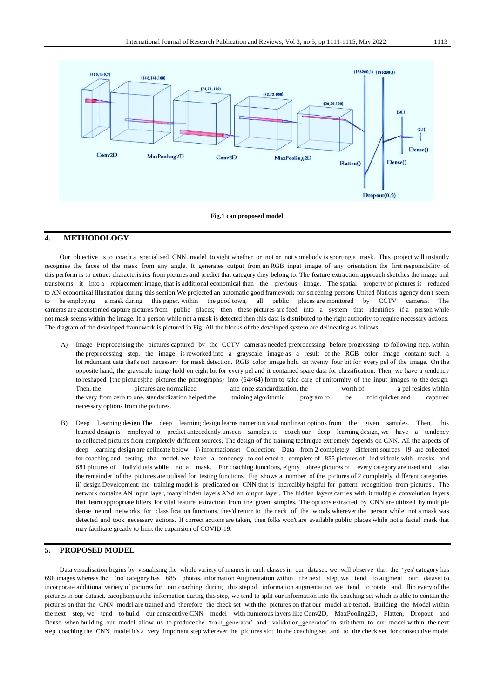

#### **Fig.1 can proposed model**

### **4. METHODOLOGY**

Our objective is to coach a specialised CNN model to sight whether or not or not somebody is sporting a mask. This project will instantly recognise the faces of the mask from any angle. It generates output from an RGB input image of any orientation. the first responsibility of this perform is to extract characteristics from pictures and predict that category they belong to. The feature extraction approach sketches the image and transforms it into a replacement image, that is additional economical than the previous image. The spatial property of pictures is reduced to AN economical illustration during this section.We projected an automatic good framework for screening persons United Nations agency don't seem to be employing a mask during this paper. within the good town, all public places are monitored by CCTV cameras. The cameras are accustomed capture pictures from public places; then these pictures are feed into a system that identifies if a person while not mask seems within the image. If a person while not a mask is detected then this data is distributed to the right authority to require necessary actions. The diagram of the developed framework is pictured in Fig. All the blocks of the developed system are delineating as follows.

- A) Image Preprocessing the pictures captured by the CCTV cameras needed preprocessing before progressing to following step. within the preprocessing step, the image is reworked into a grayscale image as a result of the RGB color image contains such a lot redundant data that's not necessary for mask detection. RGB color image hold on twenty four bit for every pel of the image. On the opposite hand, the grayscale image hold on eight bit for every pel and it contained spare data for classification. Then, we have a tendency to reshaped {the pictures|the pictures|the photographs} into (64×64) form to take care of uniformity of the input images to the design. Then, the pictures are normalized and once standardization, the worth of a pel resides within the vary from zero to one. standardization helped the training algorithmic program to be told quicker and captured necessary options from the pictures.
- B) Deep Learning design The deep learning design learns numerous vital nonlinear options from the given samples. Then, this learned design is employed to predict antecedently unseen samples. to coach our deep learning design, we have a tendency to collected pictures from completely different sources. The design of the training technique extremely depends on CNN. All the aspects of deep learning design are delineate below. i) informationset Collection: Data from 2 completely different sources [9] are collected for coaching and testing the model. we have a tendency to collected a complete of 855 pictures of individuals with masks and 681 pictures of individuals while not a mask. For coaching functions, eighty three pictures of every category are used and also the remainder of the pictures are utilised for testing functions. Fig shows a number of the pictures of 2 completely different categories. ii) design Development: the training model is predicated on CNN that is incredibly helpful for pattern recognition from pictures . The network contains AN input layer, many hidden layers ANd an output layer. The hidden layers carries with it multiple convolution layers that learn appropriate filters for vital feature extraction from the given samples. The options extracted by CNN are utilized by multiple dense neural networks for classification functions. they'd return to the neck of the woods wherever the person while not a mask was detected and took necessary actions. If correct actions are taken, then folks won't are available public places while not a facial mask that may facilitate greatly to limit the expansion of COVID-19.

### **5. PROPOSED MODEL**

Data visualisation begins by visualising the whole variety of images in each classes in our dataset. we will observe that the 'yes' category has 698 images whereas the 'no' category has 685 photos. information Augmentation within the next step, we tend to augment our dataset to incorporate additional variety of pictures for our coaching. during this step of information augmentation, we tend to rotate and flip every of the pictures in our dataset. cacophonous the information during this step, we tend to split our information into the coaching set which is able to contain the pictures on that the CNN model are trained and therefore the check set with the pictures on that our model are tested. Building the Model within the next step, we tend to build our consecutive CNN model with numerous layers like Conv2D, MaxPooling2D, Flatten, Dropout and Dense. when building our model, allow us to produce the 'train\_generator' and 'validation\_generator' to suit them to our model within the next step. coaching the CNN model it's a very important step wherever the pictures slot in the coaching set and to the check set for consecutive model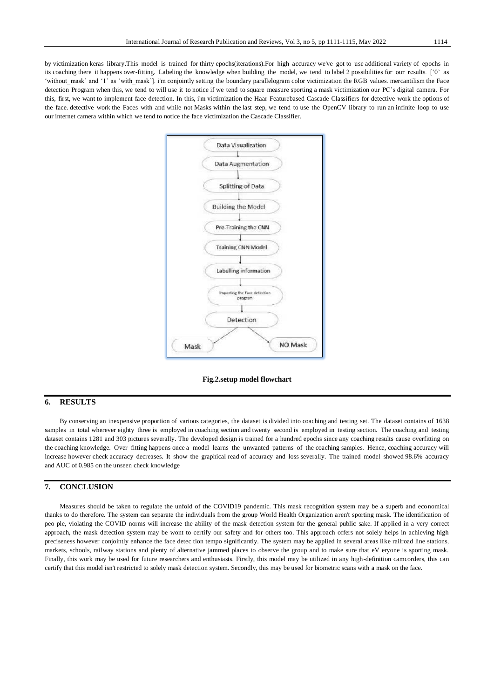by victimization keras library.This model is trained for thirty epochs(iterations).For high accuracy we've got to use additional variety of epochs in its coaching there it happens over-fitting. Labeling the knowledge when building the model, we tend to label 2 possibilities for our results. ['0' as 'without mask' and '1' as 'with mask']. i'm conjointly setting the boundary parallelogram color victimization the RGB values. mercantilism the Face

detection Program when this, we tend to will use it to notice if we tend to square measure sporting a mask victimization our PC's digital camera. For this, first, we want to implement face detection. In this, i'm victimization the Haar Featurebased Cascade Classifiers for detective work the options of the face. detective work the Faces with and while not Masks within the last step, we tend to use the OpenCV library to run an infinite loop to use our internet camera within which we tend to notice the face victimization the Cascade Classifier.



**Fig.2.setup model flowchart**

## **6. RESULTS**

By conserving an inexpensive proportion of various categories, the dataset is divided into coaching and testing set. The dataset contains of 1638 samples in total wherever eighty three is employed in coaching section and twenty second is employed in testing section. The coaching and testing dataset contains 1281 and 303 pictures severally. The developed design is trained for a hundred epochs since any coaching results cause overfitting on the coaching knowledge. Over fitting happens once a model learns the unwanted patterns of the coaching samples. Hence, coaching accuracy will increase however check accuracy decreases. It show the graphical read of accuracy and loss severally. The trained model showed 98.6% accuracy and AUC of 0.985 on the unseen check knowledge

### **7. CONCLUSION**

Measures should be taken to regulate the unfold of the COVID19 pandemic. This mask recognition system may be a superb and economical thanks to do therefore. The system can separate the individuals from the group World Health Organization aren't sporting mask. The identification of peo ple, violating the COVID norms will increase the ability of the mask detection system for the general public sake. If applied in a very correct approach, the mask detection system may be wont to certify our safety and for others too. This approach offers not solely helps in achieving high preciseness however conjointly enhance the face detec tion tempo significantly. The system may be applied in several areas like railroad line stations, markets, schools, railway stations and plenty of alternative jammed places to observe the group and to make sure that eV eryone is sporting mask. Finally, this work may be used for future researchers and enthusiasts. Firstly, this model may be utilized in any high-definition camcorders, this can certify that this model isn't restricted to solely mask detection system. Secondly, this may be used for biometric scans with a mask on the face.